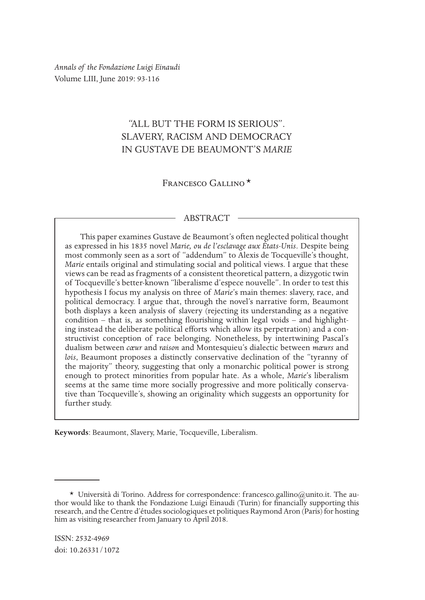*Annals of the Fondazione Luigi Einaudi* Volume LIII, June 2019: 93-116

# "ALL BUT THE FORM IS SERIOUS". SLAVERY, RACISM AND DEMOCRACY IN GUSTAVE DE BEAUMONT'S *MARIE*

FRANCESCO GALLINO<sup>\*</sup>

### ABSTRACT

This paper examines Gustave de Beaumont's often neglected political thought as expressed in his 1835 novel *Marie, ou de l'esclavage aux États-Unis*. Despite being most commonly seen as a sort of "addendum" to Alexis de Tocqueville's thought, *Marie* entails original and stimulating social and political views. I argue that these views can be read as fragments of a consistent theoretical pattern, a dizygotic twin of Tocqueville's better-known "liberalisme d'espece nouvelle". In order to test this hypothesis I focus my analysis on three of *Marie*'s main themes: slavery, race, and political democracy. I argue that, through the novel's narrative form, Beaumont both displays a keen analysis of slavery (rejecting its understanding as a negative condition – that is, as something flourishing within legal voids – and highlighting instead the deliberate political efforts which allow its perpetration) and a constructivist conception of race belonging. Nonetheless, by intertwining Pascal's dualism between *cœur* and *raison* and Montesquieu's dialectic between *mœurs* and *lois*, Beaumont proposes a distinctly conservative declination of the "tyranny of the majority" theory, suggesting that only a monarchic political power is strong enough to protect minorities from popular hate. As a whole, *Marie*'s liberalism seems at the same time more socially progressive and more politically conservative than Tocqueville's, showing an originality which suggests an opportunity for further study.

**Keywords**: Beaumont, Slavery, Marie, Tocqueville, Liberalism.

<sup>\*</sup> Università di Torino. Address for correspondence: francesco.gallino@unito.it. The author would like to thank the Fondazione Luigi Einaudi (Turin) for financially supporting this research, and the Centre d'études sociologiques et politiques Raymond Aron (Paris) for hosting him as visiting researcher from January to April 2018.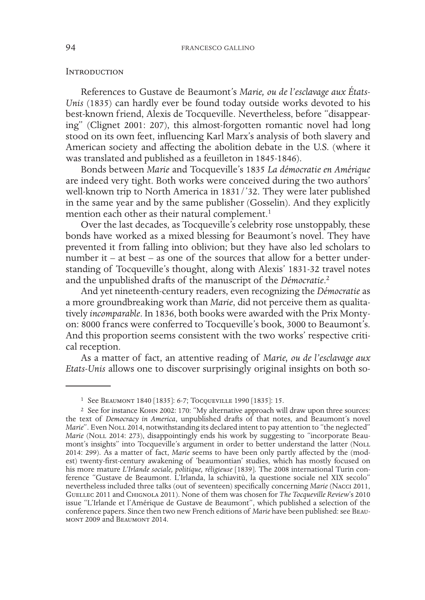#### **INTRODUCTION**

References to Gustave de Beaumont's *Marie, ou de l'esclavage aux États-Unis* (1835) can hardly ever be found today outside works devoted to his best-known friend, Alexis de Tocqueville. Nevertheless, before "disappearing" (Clignet 2001: 207), this almost-forgotten romantic novel had long stood on its own feet, influencing Karl Marx's analysis of both slavery and American society and affecting the abolition debate in the U.S. (where it was translated and published as a feuilleton in 1845-1846).

Bonds between *Marie* and Tocqueville's 1835 *La démocratie en Amérique* are indeed very tight. Both works were conceived during the two authors' well-known trip to North America in 1831/'32. They were later published in the same year and by the same publisher (Gosselin). And they explicitly mention each other as their natural complement.<sup>1</sup>

Over the last decades, as Tocqueville's celebrity rose unstoppably, these bonds have worked as a mixed blessing for Beaumont's novel. They have prevented it from falling into oblivion; but they have also led scholars to number it – at best – as one of the sources that allow for a better understanding of Tocqueville's thought, along with Alexis' 1831-32 travel notes and the unpublished drafts of the manuscript of the *Démocratie*. 2

And yet nineteenth-century readers, even recognizing the *Démocratie* as a more groundbreaking work than *Marie*, did not perceive them as qualitatively *incomparable*. In 1836, both books were awarded with the Prix Montyon: 8000 francs were conferred to Tocqueville's book, 3000 to Beaumont's. And this proportion seems consistent with the two works' respective critical reception.

As a matter of fact, an attentive reading of *Marie, ou de l'esclavage aux Etats-Unis* allows one to discover surprisingly original insights on both so-

<sup>1</sup> See Beaumont 1840 [1835]: 6-7; Tocqueville 1990 [1835]: 15.

<sup>&</sup>lt;sup>2</sup> See for instance KOHN 2002: 170: "My alternative approach will draw upon three sources: the text of *Democracy in America*, unpublished drafts of that notes, and Beaumont's novel *Marie*". Even NoLL 2014, notwithstanding its declared intent to pay attention to "the neglected" *Marie* (Noll 2014: 273), disappointingly ends his work by suggesting to "incorporate Beaumont's insights" into Tocqueville's argument in order to better understand the latter (Noll 2014: 299). As a matter of fact, *Marie* seems to have been only partly affected by the (modest) twenty-first-century awakening of 'beaumontian' studies, which has mostly focused on his more mature *L'Irlande sociale, politique, réligieuse* [1839]. The 2008 international Turin con- ference "Gustave de Beaumont. L'Irlanda, la schiavitù, la questione sociale nel XIX secolo" nevertheless included three talks (out of seventeen) specifically concerning *Marie* (Nacci 2011, Guellec 2011 and Chignola 2011). None of them was chosen for *The Tocqueville Review*'s 2010 issue "L'Irlande et l'Amérique de Gustave de Beaumont", which published a selection of the conference papers. Since then two new French editions of *Marie* have been published: see Beaumont 2009 and Beaumont 2014.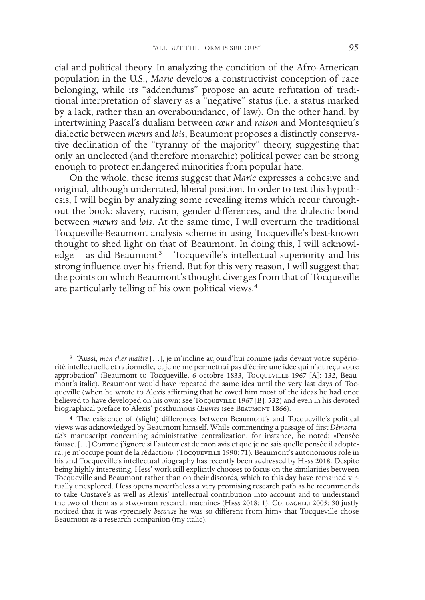cial and political theory. In analyzing the condition of the Afro-American population in the U.S., *Marie* develops a constructivist conception of race belonging, while its "addendums" propose an acute refutation of traditional interpretation of slavery as a "negative" status (i.e. a status marked by a lack, rather than an overaboundance, of law). On the other hand, by intertwining Pascal's dualism between *cœur* and *raison* and Montesquieu's dialectic between *mœurs* and *lois*, Beaumont proposes a distinctly conservative declination of the "tyranny of the majority" theory, suggesting that only an unelected (and therefore monarchic) political power can be strong enough to protect endangered minorities from popular hate.

On the whole, these items suggest that *Marie* expresses a cohesive and original, although underrated, liberal position. In order to test this hypothesis, I will begin by analyzing some revealing items which recur throughout the book: slavery, racism, gender differences, and the dialectic bond between *mœurs* and *lois*. At the same time, I will overturn the traditional Tocqueville-Beaumont analysis scheme in using Tocqueville's best-known thought to shed light on that of Beaumont. In doing this, I will acknowledge – as did Beaumont<sup>3</sup> – Tocqueville's intellectual superiority and his strong influence over his friend. But for this very reason, I will suggest that the points on which Beaumont's thought diverges from that of Tocqueville are particularly telling of his own political views.4

<sup>3</sup> "Aussi, *mon cher maitre* […], je m'incline aujourd'hui comme jadis devant votre supério- rité intellectuelle et rationnelle, et je ne me permettrai pas d'écrire une idée qui n'ait reçu votre approbation" (Beaumont to Tocqueville,  $\vec{6}$  octobre 1833, Tocqueville 1967 [A]: 132, Beaumont's italic). Beaumont would have repeated the same idea until the very last days of Tocqueville (when he wrote to Alexis affir believed to have developed on his own: see Tocqueville 1967 [B]: 532) and even in his devoted biographical preface to Alexis' posthumous *Œuvres* (see BEAUMONT 1866).

<sup>4</sup> The existence of (slight) differences between Beaumont's and Tocqueville's political views was acknowledged by Beaumont himself. While commenting a passage of first *Démocratie*'s manuscript concerning administrative centralization, for instance, he noted: «Pensée fausse. […] Comme j'ignore si l'auteur est de mon avis et que je ne sais quelle pensée il adoptera, je m'occupe point de la rédaction» (Tocqueville 1990: 71). Beaumont's autonomous role in his and Tocqueville's intellectual biography has recently been addressed by Hess 2018. Despite being highly interesting, Hess' work still explicitly chooses to focus on the similarities between<br>Tocqueville and Beaumont rather than on their discords, which to this day have remained virtually unexplored. Hess opens nevertheless a very promising research path as he recommends to take Gustave's as well as Alexis' intellectual contribution into account and to understand the two of them as a «two-man research machine» (HESS 2018: 1). COLDAGELLI 2005: 30 justly noticed that it was «precisely *because* he was so different from him» that Tocqueville chose Beaumont as a research companion (my italic).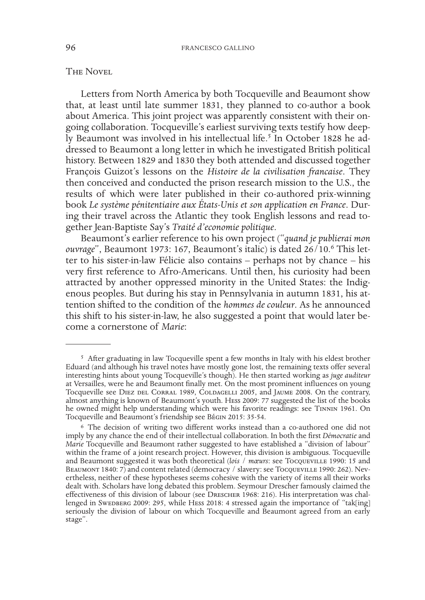## The Novel

Letters from North America by both Tocqueville and Beaumont show that, at least until late summer 1831, they planned to co-author a book about America. This joint project was apparently consistent with their ongoing collaboration. Tocqueville's earliest surviving texts testify how deeply Beaumont was involved in his intellectual life.<sup>5</sup> In October 1828 he addressed to Beaumont a long letter in which he investigated British political history. Between 1829 and 1830 they both attended and discussed together François Guizot's lessons on the *Histoire de la civilisation francaise*. They then conceived and conducted the prison research mission to the U.S., the results of which were later published in their co-authored prix-winning book *Le système pénitentiaire aux États-Unis et son application en France*. During their travel across the Atlantic they took English lessons and read together Jean-Baptiste Say's *Traité d'economie politique*.

Beaumont's earlier reference to his own project ("*quand je publierai mon ouvrage*", Beaumont 1973: 167, Beaumont's italic) is dated 26/10.6 This letter to his sister-in-law Félicie also contains – perhaps not by chance – his very first reference to Afro-Americans. Until then, his curiosity had been attracted by another oppressed minority in the United States: the Indigenous peoples. But during his stay in Pennsylvania in autumn 1831, his attention shifted to the condition of the *hommes de couleur*. As he announced this shift to his sister-in-law, he also suggested a point that would later become a cornerstone of *Marie*:

<sup>5</sup> After graduating in law Tocqueville spent a few months in Italy with his eldest brother Eduard (and although his travel notes have mostly gone lost, the remaining texts offer several interesting hints about young Tocqueville's though). He then started working as *juge auditeur* at Versailles, were he and Beaumont finally met. On the most prominent influences on young Tocqueville see DIEZ DEL CORRAL 1989, COLDAGELLI 2005, and JAUME 2008. On the contrary, almost anything is known of Beaumont's youth. Hess 2009: 77 suggested the list of the books he owned might help understanding which were his favorite readings: see TINNIN 1961. On Tocqueville and Beaumont's friendship see Bégin 2015: 35-54.

<sup>6</sup> The decision of writing two different works instead than a co-authored one did not imply by any chance the end of their intellectual collaboration. In both the first *Démocratie* and *Marie* Tocqueville and Beaumont rather suggested to have established a "division of labour" within the frame of a joint research project. However, this division is ambiguous. Tocqueville and Beaumont suggested it was both theoretical (*lois* / *mœurs*: see Tocqueville 1990: 15 and BEAUMONT 1840: 7) and content related (democracy / slavery: see Tocqueville 1990: 262). Nevertheless, neither of these hypotheses seems cohesive with the variety of items all their works dealt with. Scholars have long debated this problem. Seymour Drescher famously claimed the effectiveness of this division of labour (see Drescher 1968: 216). His interpretation was challenged in SwEDBERG 2009: 295, while HEss 2018: 4 stressed again the importance of "tak[ing] seriously the division of labour on which Tocqueville and Beaumont agreed from an early stage".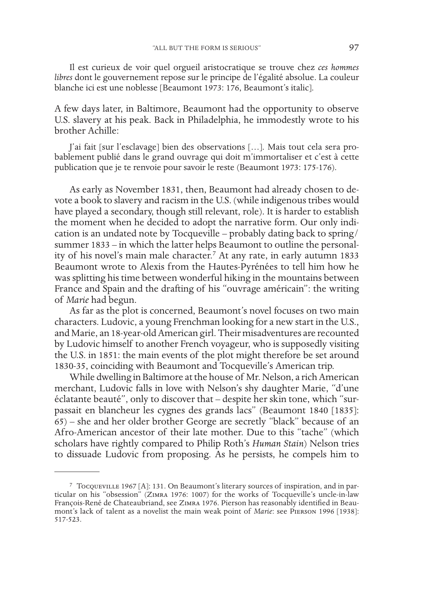Il est curieux de voir quel orgueil aristocratique se trouve chez *ces hommes libres* dont le gouvernement repose sur le principe de l'égalité absolue. La couleur blanche ici est une noblesse [Beaumont 1973: 176, Beaumont's italic].

A few days later, in Baltimore, Beaumont had the opportunity to observe U.S. slavery at his peak. Back in Philadelphia, he immodestly wrote to his brother Achille:

J'ai fait [sur l'esclavage] bien des observations […]. Mais tout cela sera probablement publié dans le grand ouvrage qui doit m'immortaliser et c'est à cette publication que je te renvoie pour savoir le reste (Beaumont 1973: 175-176).

As early as November 1831, then, Beaumont had already chosen to devote a book to slavery and racism in the U.S. (while indigenous tribes would have played a secondary, though still relevant, role). It is harder to establish the moment when he decided to adopt the narrative form. Our only indication is an undated note by Tocqueville – probably dating back to spring/ summer 1833 – in which the latter helps Beaumont to outline the personality of his novel's main male character.7 At any rate, in early autumn 1833 Beaumont wrote to Alexis from the Hautes-Pyrénées to tell him how he was splitting his time between wonderful hiking in the mountains between France and Spain and the drafting of his "ouvrage américain": the writing of *Marie* had begun.

As far as the plot is concerned, Beaumont's novel focuses on two main characters. Ludovic, a young Frenchman looking for a new start in the U.S., and Marie, an 18-year-old American girl. Their misadventures are recounted by Ludovic himself to another French voyageur, who is supposedly visiting the U.S. in 1851: the main events of the plot might therefore be set around 1830-35, coinciding with Beaumont and Tocqueville's American trip.

While dwelling in Baltimore at the house of Mr. Nelson, a rich American merchant, Ludovic falls in love with Nelson's shy daughter Marie, "d'une éclatante beauté", only to discover that – despite her skin tone, which "surpassait en blancheur les cygnes des grands lacs" (Beaumont 1840 [1835]: 65) – she and her older brother George are secretly "black" because of an Afro-American ancestor of their late mother. Due to this "tache" (which scholars have rightly compared to Philip Roth's *Human Stain*) Nelson tries to dissuade Ludovic from proposing. As he persists, he compels him to

<sup>7</sup> Tocqueville 1967 [A]: 131. On Beaumont's literary sources of inspiration, and in particular on his "obsession" (Zimra 1976: 1007) for the works of Tocqueville's uncle-in-law François-René de Chateaubriand, see Zimra 1976. Pierson has reasonably identified in Beaumont's lack of talent as a novelist the main weak point of *Marie*: see Pierson 1996 [1938]: 517-523.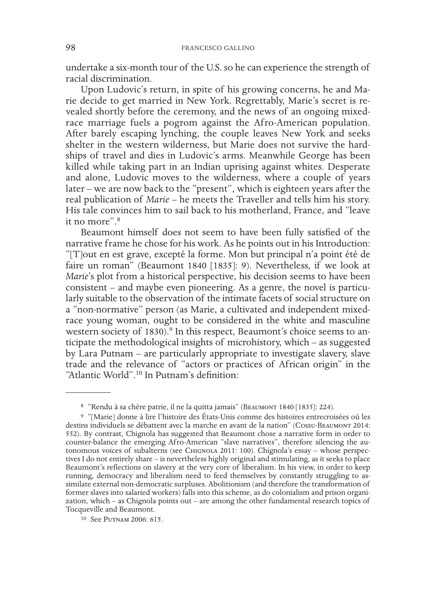undertake a six-month tour of the U.S. so he can experience the strength of racial discrimination.

Upon Ludovic's return, in spite of his growing concerns, he and Marie decide to get married in New York. Regrettably, Marie's secret is revealed shortly before the ceremony, and the news of an ongoing mixedrace marriage fuels a pogrom against the Afro-American population. After barely escaping lynching, the couple leaves New York and seeks shelter in the western wilderness, but Marie does not survive the hardships of travel and dies in Ludovic's arms. Meanwhile George has been killed while taking part in an Indian uprising against whites. Desperate and alone, Ludovic moves to the wilderness, where a couple of years later – we are now back to the "present", which is eighteen years after the real publication of *Marie* – he meets the Traveller and tells him his story. His tale convinces him to sail back to his motherland, France, and "leave it no more".8

Beaumont himself does not seem to have been fully satisfied of the narrative frame he chose for his work. As he points out in his Introduction: "[T]out en est grave, excepté la forme. Mon but principal n'a point été de faire un roman" (Beaumont 1840 [1835]: 9). Nevertheless, if we look at *Marie*'s plot from a historical perspective, his decision seems to have been consistent – and maybe even pioneering. As a genre, the novel is particularly suitable to the observation of the intimate facets of social structure on a "non-normative" person (as Marie, a cultivated and independent mixedrace young woman, ought to be considered in the white and masculine western society of 1830).<sup>9</sup> In this respect, Beaumont's choice seems to anticipate the methodological insights of microhistory, which – as suggested by Lara Putnam – are particularly appropriate to investigate slavery, slave trade and the relevance of "actors or practices of African origin" in the "Atlantic World".10 In Putnam's definition:

<sup>8 &</sup>quot;Rendu à sa chère patrie, il ne la quitta jamais" (BEAUMONT 1840 [1835]: 224).

<sup>9</sup> "[Marie] donne à lire l'histoire des États-Unis comme des histoires entrecroisées où les destins individuels se débattent avec la marche en avant de la nation" (Cossu-Beaumont 2014: 552). By contrast, Chignola has suggested that Beaumont chose a narrative form in order to tonomous voices of subalterns (see CHIGNOLA 2011: 100). Chignola's essay – whose perspectives I do not entirely share – is nevertheless highly original and stimulating, as it seeks to place Beaumont's reflections on slavery at the very core of liberalism. In his view, in order to keep running, democracy and liberalism need to feed themselves by constantly struggling to assimilate external non-democratic surpluses. Abolitionism (and therefore the transformation of former slaves into salaried workers) falls into this scheme, as do colonialism and prison organization, which – as Chignola points out – are among the other fundamental research topics of Tocqueville and Beaumont.

<sup>10</sup> See Putnam 2006: 615.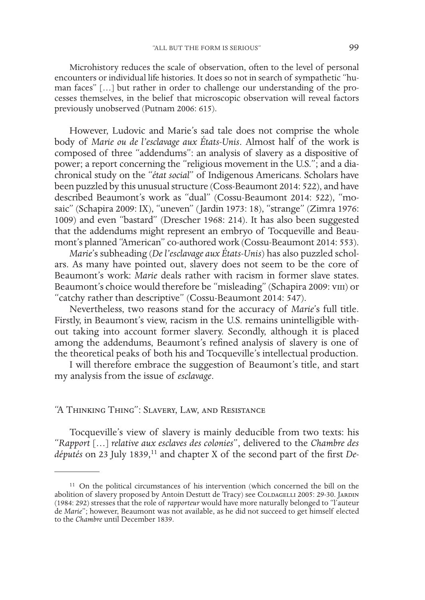Microhistory reduces the scale of observation, often to the level of personal encounters or individual life histories. It does so not in search of sympathetic "human faces" […] but rather in order to challenge our understanding of the processes themselves, in the belief that microscopic observation will reveal factors previously unobserved (Putnam 2006: 615).

However, Ludovic and Marie's sad tale does not comprise the whole body of *Marie ou de l'esclavage aux États-Unis*. Almost half of the work is composed of three "addendums": an analysis of slavery as a dispositive of power; a report concerning the "religious movement in the U.S."; and a diachronical study on the "*état social*" of Indigenous Americans. Scholars have been puzzled by this unusual structure (Coss-Beaumont 2014: 522), and have described Beaumont's work as "dual" (Cossu-Beaumont 2014: 522), "mosaic" (Schapira 2009: IX), "uneven" (Jardin 1973: 18), "strange" (Zimra 1976: 1009) and even "bastard" (Drescher 1968: 214). It has also been suggested that the addendums might represent an embryo of Tocqueville and Beaumont's planned "American" co-authored work (Cossu-Beaumont 2014: 553).

*Marie*'s subheading (*De l'esclavage aux États-Unis*) has also puzzled scholars. As many have pointed out, slavery does not seem to be the core of Beaumont's work: *Marie* deals rather with racism in former slave states. Beaumont's choice would therefore be "misleading" (Schapira 2009: VIII) or "catchy rather than descriptive" (Cossu-Beaumont 2014: 547).

Nevertheless, two reasons stand for the accuracy of *Marie*'s full title. Firstly, in Beaumont's view, racism in the U.S. remains unintelligible without taking into account former slavery. Secondly, although it is placed among the addendums, Beaumont's refined analysis of slavery is one of the theoretical peaks of both his and Tocqueville's intellectual production.

I will therefore embrace the suggestion of Beaumont's title, and start my analysis from the issue of *esclavage*.

#### "A Thinking Thing": Slavery, Law, and Resistance

Tocqueville's view of slavery is mainly deducible from two texts: his "*Rapport* […] *relative aux esclaves des colonies*", delivered to the *Chambre des*  députés on 23 July 1839,<sup>11</sup> and chapter X of the second part of the first *De*-

<sup>11</sup> On the political circumstances of his intervention (which concerned the bill on the abolition of slavery proposed by Antoin Destutt de Tracy) see COLDAGELLI 2005: 29-30. JARDIN (1984: 292) stresses that the role of *rapporteur* would have more naturally belonged to "l'auteur de *Marie*"; however, Beaumont was not available, as he did not succeed to get himself elected to the *Chambre* until December 1839.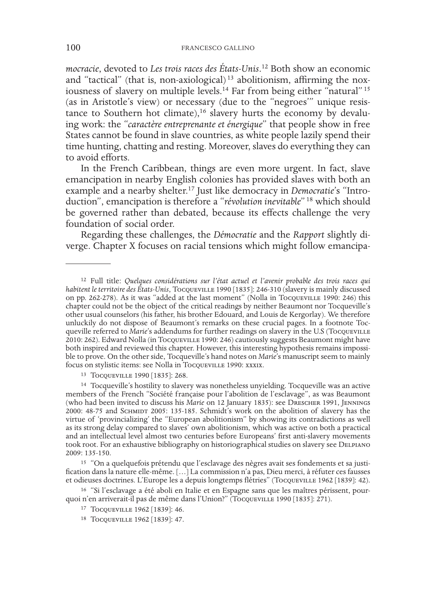*mocracie*, devoted to *Les trois races des États-Unis*. 12 Both show an economic and "tactical" (that is, non-axiological)<sup>13</sup> abolitionism, affirming the noxiousness of slavery on multiple levels.<sup>14</sup> Far from being either "natural" <sup>15</sup> (as in Aristotle's view) or necessary (due to the "negroes'" unique resistance to Southern hot climate),<sup>16</sup> slavery hurts the economy by devaluing work: the "*caractère entreprenante et énergique*" that people show in free States cannot be found in slave countries, as white people lazily spend their time hunting, chatting and resting. Moreover, slaves do everything they can to avoid efforts.

In the French Caribbean, things are even more urgent. In fact, slave emancipation in nearby English colonies has provided slaves with both an example and a nearby shelter.17 Just like democracy in *Democratie*'s "Introduction", emancipation is therefore a "*révolution inevitable*" 18 which should be governed rather than debated, because its effects challenge the very foundation of social order.

Regarding these challenges, the *Démocratie* and the *Rapport* slightly diverge. Chapter X focuses on racial tensions which might follow emancipa-

13 Tocqueville 1990 [1835]: 268.

14 Tocqueville's hostility to slavery was nonetheless unyielding. Tocqueville was an active members of the French "Société française pour l'abolition de l'esclavage", as was Beaumont (who had been invited to discuss his *Marie* on 12 January 1835): see Drescher 1991, Jennings 2000: 48-75 and SCHMIDT 2005: 135-185. Schmidt's work on the abolition of slavery has the virtue of 'provincializing' the "European abolitionism" by showing its contradictions as well as its strong delay compared to slaves' own abolitionism, which was active on both a practical and an intellectual level almost two centuries before Europeans' first anti-slavery movements took root. For an exhaustive bibliography on historiographical studies on slavery see DELPIANO 2009: 135-150.

15 "On a quelquefois prétendu que l'esclavage des nègres avait ses fondements et sa justification dans la nature elle-même. […] La commission n'a pas, Dieu merci, à réfuter ces fausses et odieuses doctrines. L'Europe les a depuis longtemps flétries" (Tocqueville 1962 [1839]: 42).

<sup>12</sup> Full title: *Quelques considérations sur l'état actuel et l'avenir probable des trois races qui habitent le territoire des États-Unis*, Tocqueville 1990 [1835]: 246-310 (slavery is mainly discussed on pp. 262-278). As it was "added at the last moment" (Nolla in Tocqueville 1990: 246) this chapter could not be the object of the critical readings by neither Beaumont nor Tocqueville's other usual counselors (his father, his brother Edouard, and Louis de Kergorlay). We therefore unluckily do not dispose of Beaumont's remarks on these crucial pages. In a footnote Tocqueville referred to *Marie*'s addendums for further readings on slavery in the U.S (Tocqueville 2010: 262). Edward Nolla (in Tocqueville 1990: 246) cautiously suggests Beaumont might have both inspired and reviewed this chapter. However, this interesting hypothesis remains impossible to prove. On the other side, Tocqueville's hand notes on *Marie*'s manuscript seem to mainly focus on stylistic items: see Nolla in Tocqueville 1990: xxxix.

<sup>16</sup> "Si l'esclavage a été aboli en Italie et en Espagne sans que les maîtres périssent, pourquoi n'en arriverait-il pas de même dans l'Union?" (Tocqueville 1990 [1835]: 271).

<sup>17</sup> Tocqueville 1962 [1839]: 46.

<sup>18</sup> Tocqueville 1962 [1839]: 47.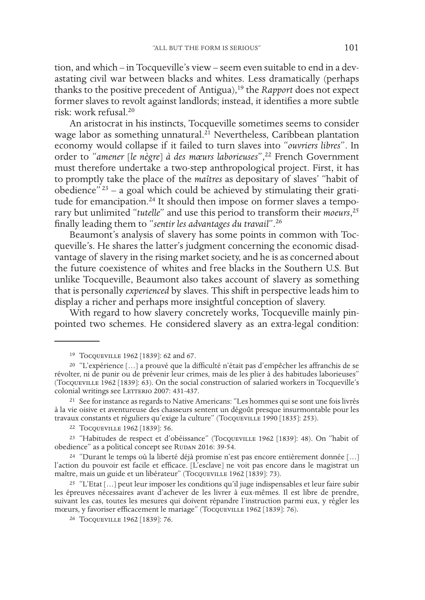tion, and which – in Tocqueville's view – seem even suitable to end in a devastating civil war between blacks and whites. Less dramatically (perhaps thanks to the positive precedent of Antigua),19 the *Rapport* does not expect former slaves to revolt against landlords; instead, it identifies a more subtle risk: work refusal.20

An aristocrat in his instincts, Tocqueville sometimes seems to consider wage labor as something unnatural.<sup>21</sup> Nevertheless, Caribbean plantation economy would collapse if it failed to turn slaves into "*ouvriers libres*". In order to "*amener* [*le nègre*] *à des mœurs laborieuses*",22 French Government must therefore undertake a two-step anthropological project. First, it has to promptly take the place of the *maîtres* as depositary of slaves' "habit of obedience"<sup>23</sup> – a goal which could be achieved by stimulating their gratitude for emancipation.<sup>24</sup> It should then impose on former slaves a temporary but unlimited "*tutelle*" and use this period to transform their *moeurs*, 25 finally leading them to "*sentir les advantages du travail*".26

Beaumont's analysis of slavery has some points in common with Tocqueville's. He shares the latter's judgment concerning the economic disadvantage of slavery in the rising market society, and he is as concerned about the future coexistence of whites and free blacks in the Southern U.S. But unlike Tocqueville, Beaumont also takes account of slavery as something that is personally *experienced* by slaves. This shift in perspective leads him to display a richer and perhaps more insightful conception of slavery.

With regard to how slavery concretely works, Tocqueville mainly pinpointed two schemes. He considered slavery as an extra-legal condition:

24 "Durant le temps où la liberté déjà promise n'est pas encore entièrement donnée […] l'action du pouvoir est facile et efficace. [L'esclave] ne voit pas encore dans le magistrat un maître, mais un guide et un libérateur" (Tocqueville 1962 [1839]: 73).

<sup>19</sup> Tocqueville 1962 [1839]: 62 and 67.

<sup>20</sup> "L'expérience […] a prouvé que la difficulté n'était pas d'empêcher les affranchis de se révolter, ni de punir ou de prévenir leur crimes, mais de les plier à des habitudes laborieuses" (Tocqueville 1962 [1839]: 63). On the social construction of salaried workers in Tocqueville's colonial writings see LETTERIO 2007: 431-437.

<sup>21</sup> See for instance as regards to Native Americans: "Les hommes qui se sont une fois livrés à la vie oisive et aventureuse des chasseurs sentent un dégoût presque insurmontable pour les travaux constants et réguliers qu'exige la culture" (Tocqueville 1990 [1835]: 253).

<sup>22</sup> Tocqueville 1962 [1839]: 56.

<sup>23</sup> "Habitudes de respect et d'obéissance" (Tocqueville 1962 [1839]: 48). On "habit of obedience" as a political concept see RUDAN 2016: 39-54.

<sup>&</sup>lt;sup>25</sup> "L'Etat [...] peut leur imposer les conditions qu'il juge indispensables et leur faire subir les épreuves nécessaires avant d'achever de les livrer à eux-mêmes. Il est libre de prendre, suivant les cas, toutes les mesures qui doivent répandre l'instruction parmi eux, y régler les mœurs, y favoriser efficacement le mariage" (Tocqueville 1962 [1839]: 76).

<sup>26</sup> Tocqueville 1962 [1839]: 76.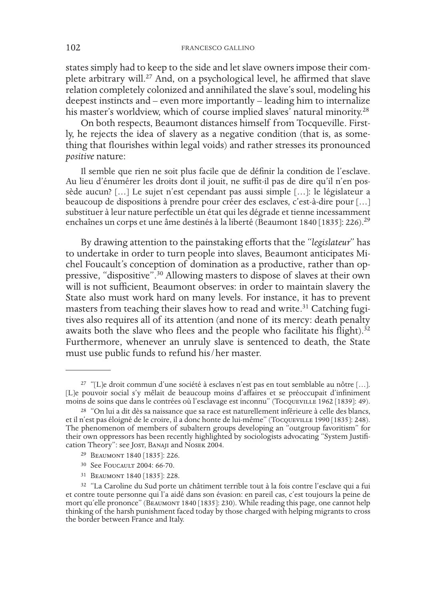states simply had to keep to the side and let slave owners impose their complete arbitrary will.27 And, on a psychological level, he affirmed that slave relation completely colonized and annihilated the slave's soul, modeling his deepest instincts and – even more importantly – leading him to internalize his master's worldview, which of course implied slaves' natural minority.<sup>28</sup>

On both respects, Beaumont distances himself from Tocqueville. Firstly, he rejects the idea of slavery as a negative condition (that is, as something that flourishes within legal voids) and rather stresses its pronounced *positive* nature:

Il semble que rien ne soit plus facile que de définir la condition de l'esclave. Au lieu d'énumérer les droits dont il jouit, ne suffit-il pas de dire qu'il n'en possède aucun? […] Le sujet n'est cependant pas aussi simple […]: le législateur a beaucoup de dispositions à prendre pour créer des esclaves, c'est-à-dire pour […] substituer à leur nature perfectible un état qui les dégrade et tienne incessamment enchaînes un corps et une âme destinés à la liberté (Beaumont 1840 [1835]: 226).<sup>29</sup>

By drawing attention to the painstaking efforts that the "*legislateur*" has to undertake in order to turn people into slaves, Beaumont anticipates Michel Foucault's conception of domination as a productive, rather than oppressive, "dispositive".<sup>30</sup> Allowing masters to dispose of slaves at their own will is not sufficient, Beaumont observes: in order to maintain slavery the State also must work hard on many levels. For instance, it has to prevent masters from teaching their slaves how to read and write.<sup>31</sup> Catching fugitives also requires all of its attention (and none of its mercy: death penalty awaits both the slave who flees and the people who facilitate his flight).<sup>32</sup> Furthermore, whenever an unruly slave is sentenced to death, the State must use public funds to refund his/her master.

<sup>27</sup> "[L]e droit commun d'une société à esclaves n'est pas en tout semblable au nôtre […]. [L]e pouvoir social s'y mêlait de beaucoup moins d'affaires et se préoccupait d'infiniment moins de soins que dans le contrées où l'esclavage est inconnu" (Tocqueville 1962 [1839]: 49).

<sup>28</sup> "On lui a dit dès sa naissance que sa race est naturellement inférieure à celle des blancs, et il n'est pas éloigné de le croire, il a donc honte de lui-même" (Tocqueville 1990 [1835]: 248). The phenomenon of members of subaltern groups developing an "outgroup favoritism" for their own oppressors has been recently highlighted by sociologists advocating "System Justification Theory": see Jost, Banaji and Nosek 2004.

<sup>29</sup> Beaumont 1840 [1835]: 226.

<sup>&</sup>lt;sup>30</sup> See FOUCAULT 2004: 66-70.

<sup>31</sup> Beaumont 1840 [1835]: 228.

<sup>32</sup> "La Caroline du Sud porte un châtiment terrible tout à la fois contre l'esclave qui a fui et contre toute personne qui l'a aidé dans son évasion: en pareil cas, c'est toujours la peine de mort qu'elle prononce" (BEAUMONT 1840 [1835]: 230). While reading this page, one cannot help thinking of the harsh punishment faced today by those charged with helping migrants to cross the border between France and Italy.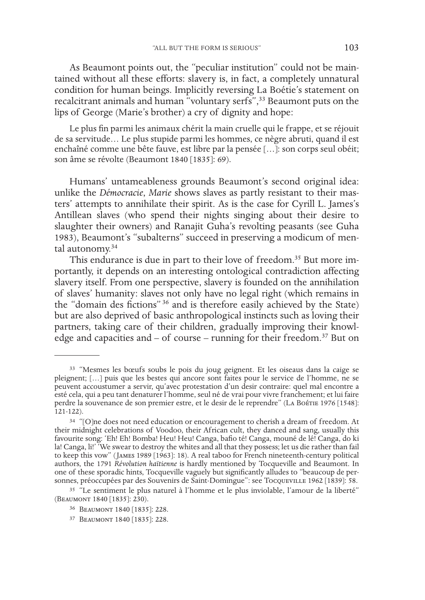As Beaumont points out, the "peculiar institution" could not be maintained without all these efforts: slavery is, in fact, a completely unnatural condition for human beings. Implicitly reversing La Boétie's statement on recalcitrant animals and human "voluntary serfs",33 Beaumont puts on the lips of George (Marie's brother) a cry of dignity and hope:

Le plus fin parmi les animaux chérit la main cruelle qui le frappe, et se réjouit de sa servitude… Le plus stupide parmi les hommes, ce nègre abruti, quand il est enchaîné comme une bête fauve, est libre par la pensée […]: son corps seul obéit; son âme se révolte (Beaumont 1840 [1835]: 69).

Humans' untameableness grounds Beaumont's second original idea: unlike the *Démocracie*, *Marie* shows slaves as partly resistant to their masters' attempts to annihilate their spirit. As is the case for Cyrill L. James's Antillean slaves (who spend their nights singing about their desire to slaughter their owners) and Ranajit Guha's revolting peasants (see Guha 1983), Beaumont's "subalterns" succeed in preserving a modicum of mental autonomy.34

This endurance is due in part to their love of freedom.<sup>35</sup> But more importantly, it depends on an interesting ontological contradiction affecting slavery itself. From one perspective, slavery is founded on the annihilation of slaves' humanity: slaves not only have no legal right (which remains in the "domain des fictions" 36 and is therefore easily achieved by the State) but are also deprived of basic anthropological instincts such as loving their partners, taking care of their children, gradually improving their knowledge and capacities and – of course – running for their freedom.<sup>37</sup> But on

<sup>33</sup> "Mesmes les bœufs soubs le pois du joug geignent. Et les oiseaus dans la caige se pleignent; […] puis que les bestes qui ancore sont faites pour le service de l'homme, ne se peuvent accoustumer a servir, qu'avec protestation d'un desir contraire: quel mal encontre a esté cela, qui a peu tant denaturer l'homme, seul né de vrai pour vivre franchement; et lui faire perdre la souvenance de son premier estre, et le desir de le reprendre" (La Boétie 1976 [1548]: 121-122).

<sup>34</sup> "[O]ne does not need education or encouragement to cherish a dream of freedom. At their midnight celebrations of Voodoo, their African cult, they danced and sang, usually this favourite song: 'Eh! Eh! Bomba! Heu! Heu! Canga, bafio té! Canga, mouné de lé! Canga, do ki la! Canga, li!' 'We swear to destroy the whites and all that they possess; let us die rather than fail to keep this vow" (James 1989 [1963]: 18). A real taboo for French nineteenth-century political authors, the 1791 *Révolution haïtienne* is hardly mentioned by Tocqueville and Beaumont. In one of these sporadic hints, Tocqueville vaguely but significantly alludes to "beaucoup de personnes, préoccupées par des Souvenirs de Saint-Domingue": see Tocqueville 1962 [1839]: 58.

<sup>35</sup> "Le sentiment le plus naturel à l'homme et le plus inviolable, l'amour de la liberté" (Beaumont 1840 [1835]: 230).

<sup>36</sup> Beaumont 1840 [1835]: 228.

<sup>37</sup> Beaumont 1840 [1835]: 228.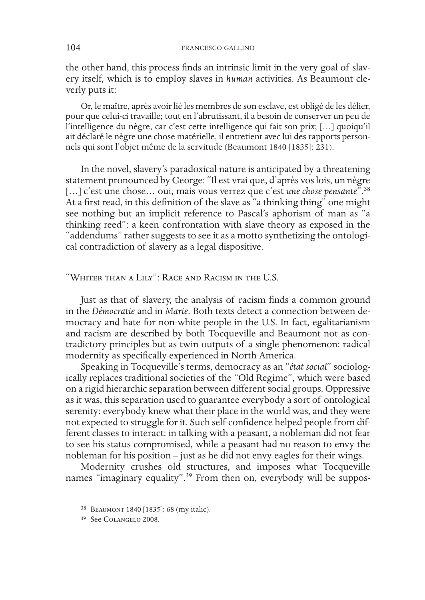the other hand, this process finds an intrinsic limit in the very goal of slavery itself, which is to employ slaves in *human* activities. As Beaumont cleverly puts it:

Or, le maître, après avoir lié les membres de son esclave, est obligé de les délier, pour que celui-ci travaille; tout en l'abrutissant, il a besoin de conserver un peu de l'intelligence du nègre, car c'est cette intelligence qui fait son prix; […] quoiqu'il ait déclaré le nègre une chose matérielle, il entretient avec lui des rapports personnels qui sont l'objet même de la servitude (Beaumont 1840 [1835]: 231).

In the novel, slavery's paradoxical nature is anticipated by a threatening statement pronounced by George: "Il est vrai que, d'après vos lois, un nègre [...] c'est une chose... oui, mais vous verrez que c'est *une chose pensante*<sup>". 38</sup> At a first read, in this definition of the slave as "a thinking thing" one might see nothing but an implicit reference to Pascal's aphorism of man as "a thinking reed": a keen confrontation with slave theory as exposed in the "addendums" rather suggests to see it as a motto synthetizing the ontological contradiction of slavery as a legal dispositive.

## "Whiter than a Lily": Race and Racism in the U.S.

Just as that of slavery, the analysis of racism finds a common ground in the *Démocratie* and in *Marie*. Both texts detect a connection between democracy and hate for non-white people in the U.S. In fact, egalitarianism and racism are described by both Tocqueville and Beaumont not as contradictory principles but as twin outputs of a single phenomenon: radical modernity as specifically experienced in North America.

Speaking in Tocqueville's terms, democracy as an "*état social*" sociologically replaces traditional societies of the "Old Regime", which were based on a rigid hierarchic separation between different social groups. Oppressive as it was, this separation used to guarantee everybody a sort of ontological serenity: everybody knew what their place in the world was, and they were not expected to struggle for it. Such self-confidence helped people from different classes to interact: in talking with a peasant, a nobleman did not fear to see his status compromised, while a peasant had no reason to envy the nobleman for his position – just as he did not envy eagles for their wings.

Modernity crushes old structures, and imposes what Tocqueville names "imaginary equality".39 From then on, everybody will be suppos-

<sup>38</sup> Beaumont 1840 [1835]: 68 (my italic).

<sup>39</sup> See Colangelo 2008.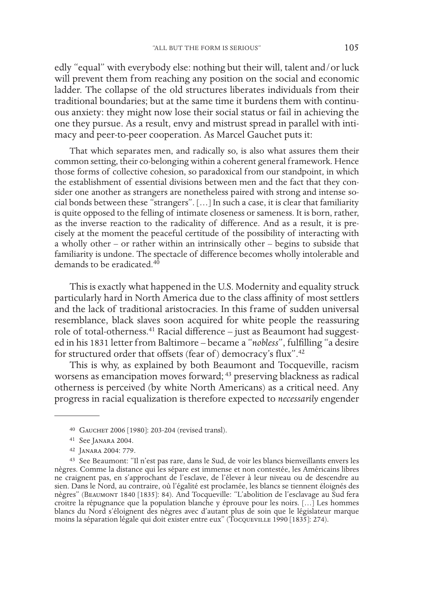edly "equal" with everybody else: nothing but their will, talent and/or luck will prevent them from reaching any position on the social and economic ladder. The collapse of the old structures liberates individuals from their traditional boundaries; but at the same time it burdens them with continuous anxiety: they might now lose their social status or fail in achieving the one they pursue. As a result, envy and mistrust spread in parallel with intimacy and peer-to-peer cooperation. As Marcel Gauchet puts it:

That which separates men, and radically so, is also what assures them their common setting, their co-belonging within a coherent general framework. Hence those forms of collective cohesion, so paradoxical from our standpoint, in which the establishment of essential divisions between men and the fact that they consider one another as strangers are nonetheless paired with strong and intense social bonds between these "strangers". […] In such a case, it is clear that familiarity is quite opposed to the felling of intimate closeness or sameness. It is born, rather, as the inverse reaction to the radicality of difference. And as a result, it is precisely at the moment the peaceful certitude of the possibility of interacting with a wholly other – or rather within an intrinsically other – begins to subside that familiarity is undone. The spectacle of difference becomes wholly intolerable and demands to be eradicated.<sup>40</sup>

This is exactly what happened in the U.S. Modernity and equality struck particularly hard in North America due to the class affinity of most settlers and the lack of traditional aristocracies. In this frame of sudden universal resemblance, black slaves soon acquired for white people the reassuring role of total-otherness.41 Racial difference – just as Beaumont had suggested in his 1831 letter from Baltimore – became a "*nobless*", fulfilling "a desire for structured order that offsets (fear of) democracy's flux".<sup>42</sup>

This is why, as explained by both Beaumont and Tocqueville, racism worsens as emancipation moves forward; 43 preserving blackness as radical otherness is perceived (by white North Americans) as a critical need. Any progress in racial equalization is therefore expected to *necessarily* engender

<sup>40</sup> Gauchet 2006 [1980]: 203-204 (revised transl).

<sup>41</sup> See Janara 2004.

<sup>42</sup> Janara 2004: 779.

<sup>43</sup> See Beaumont: "Il n'est pas rare, dans le Sud, de voir les blancs bienveillants envers les nègres. Comme la distance qui les sépare est immense et non contestée, les Américains libres ne craignent pas, en s'approchant de l'esclave, de l'élever à leur niveau ou de descendre au sien. Dans le Nord, au contraire, où l'égalité est proclamée, les blancs se tiennent éloignés des nègres" (Beaumont 1840 [1835]: 84). And Tocqueville: "L'abolition de l'esclavage au Sud fera croitre la répugnance que la population blanche y éprouve pour les noirs. […] Les hommes blancs du Nord s'éloignent des nègres avec d'autant plus de soin que le législateur marque moins la séparation légale qui doit exister entre eux" (Tocqueville 1990 [1835]: 274).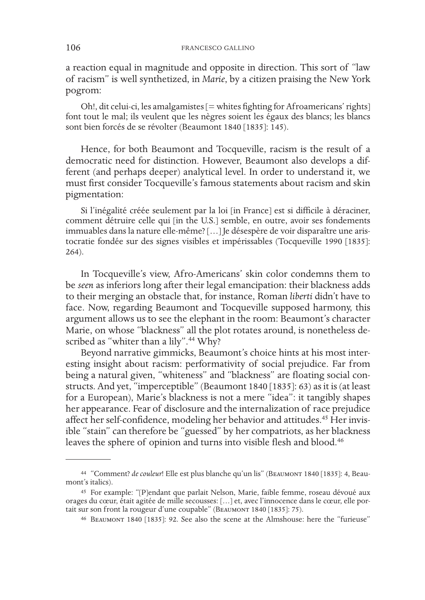a reaction equal in magnitude and opposite in direction. This sort of "law of racism" is well synthetized, in *Marie*, by a citizen praising the New York pogrom:

Oh!, dit celui-ci, les amalgamistes [= whites fighting for Afroamericans' rights] font tout le mal; ils veulent que les nègres soient les égaux des blancs; les blancs sont bien forcés de se révolter (Beaumont 1840 [1835]: 145).

Hence, for both Beaumont and Tocqueville, racism is the result of a democratic need for distinction. However, Beaumont also develops a different (and perhaps deeper) analytical level. In order to understand it, we must first consider Tocqueville's famous statements about racism and skin pigmentation:

Si l'inégalité créée seulement par la loi [in France] est si difficile à déraciner, comment détruire celle qui [in the U.S.] semble, en outre, avoir ses fondements immuables dans la nature elle-même? […] Je désespère de voir disparaître une aristocratie fondée sur des signes visibles et impérissables (Tocqueville 1990 [1835]: 264).

In Tocqueville's view, Afro-Americans' skin color condemns them to be *seen* as inferiors long after their legal emancipation: their blackness adds to their merging an obstacle that, for instance, Roman *liberti* didn't have to face. Now, regarding Beaumont and Tocqueville supposed harmony, this argument allows us to see the elephant in the room: Beaumont's character Marie, on whose "blackness" all the plot rotates around, is nonetheless described as "whiter than a lily".<sup>44</sup> Why?

Beyond narrative gimmicks, Beaumont's choice hints at his most interesting insight about racism: performativity of social prejudice. Far from being a natural given, "whiteness" and "blackness" are floating social constructs. And yet, "imperceptible" (Beaumont 1840 [1835]: 63) as it is (at least for a European), Marie's blackness is not a mere "idea": it tangibly shapes her appearance. Fear of disclosure and the internalization of race prejudice affect her self-confidence, modeling her behavior and attitudes.45 Her invisible "stain" can therefore be "guessed" by her compatriots, as her blackness leaves the sphere of opinion and turns into visible flesh and blood.46

<sup>44 &</sup>quot;Comment? *de couleur*! Elle est plus blanche qu'un lis" (BEAUMONT 1840 [1835]: 4, Beaumont's italics).

<sup>45</sup> For example: "[P]endant que parlait Nelson, Marie, faible femme, roseau dévoué aux orages du cœur, était agitée de mille secousses: […] et, avec l'innocence dans le cœur, elle por- tait sur son front la rougeur d'une coupable" (Beaumont 1840 [1835]: 75).

<sup>46</sup> Beaumont 1840 [1835]: 92. See also the scene at the Almshouse: here the "furieuse"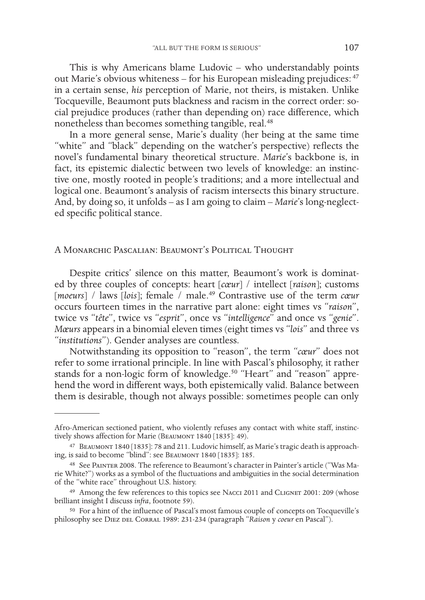This is why Americans blame Ludovic – who understandably points out Marie's obvious whiteness – for his European misleading prejudices: <sup>47</sup> in a certain sense, *his* perception of Marie, not theirs, is mistaken. Unlike Tocqueville, Beaumont puts blackness and racism in the correct order: social prejudice produces (rather than depending on) race difference, which nonetheless than becomes something tangible, real.48

In a more general sense, Marie's duality (her being at the same time "white" and "black" depending on the watcher's perspective) reflects the novel's fundamental binary theoretical structure. *Marie*'s backbone is, in fact, its epistemic dialectic between two levels of knowledge: an instinctive one, mostly rooted in people's traditions; and a more intellectual and logical one. Beaumont's analysis of racism intersects this binary structure. And, by doing so, it unfolds – as I am going to claim – *Marie*'s long-neglected specific political stance.

A Monarchic Pascalian: Beaumont's Political Thought

Despite critics' silence on this matter, Beaumont's work is dominated by three couples of concepts: heart [*cœur*] / intellect [*raison*]; customs [*moeurs*] / laws [*lois*]; female / male.49 Contrastive use of the term *cœur*  occurs fourteen times in the narrative part alone: eight times vs "*raison*", twice vs "*tête*", twice vs "*esprit*", once vs "*intelligence*" and once vs "*genie*". *Mœurs* appears in a binomial eleven times (eight times vs "*lois*" and three vs "*institutions*"). Gender analyses are countless.

Notwithstanding its opposition to "reason", the term "*cœur*" does not refer to some irrational principle. In line with Pascal's philosophy, it rather stands for a non-logic form of knowledge.<sup>50</sup> "Heart" and "reason" apprehend the word in different ways, both epistemically valid. Balance between them is desirable, though not always possible: sometimes people can only

Afro-American sectioned patient, who violently refuses any contact with white staff, instinctively shows affection for Marie (BEAUMONT 1840 [1835]: 49).

<sup>47</sup> Beaumont 1840 [1835]: 78 and 211. Ludovic himself, as Marie's tragic death is approaching, is said to become "blind": see BEAUMONT 1840 [1835]: 185.

<sup>48</sup> See Painter 2008. The reference to Beaumont's character in Painter's article ("Was Marie White?") works as a symbol of the fluctuations and ambiguities in the social determination of the "white race" throughout U.S. history.

<sup>49</sup> Among the few references to this topics see Nacci 2011 and Clignet 2001: 209 (whose brilliant insight I discuss *infra*, footnote 59).

<sup>50</sup> For a hint of the influence of Pascal's most famous couple of concepts on Tocqueville's philosophy see Diez del Corral 1989: 231-234 (paragraph "*Raison* y *coeur* en Pascal").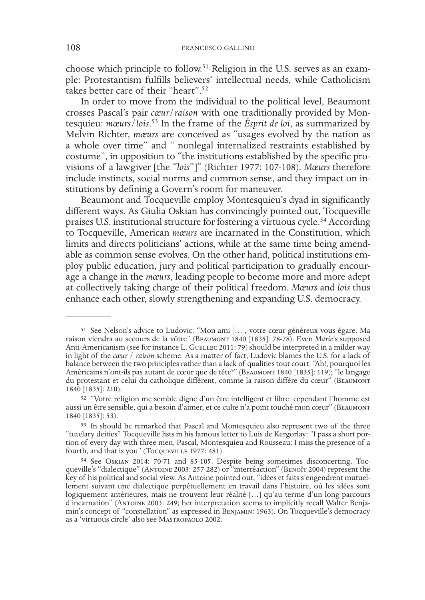choose which principle to follow.<sup>51</sup> Religion in the U.S. serves as an example: Protestantism fulfills believers' intellectual needs, while Catholicism takes better care of their "heart".<sup>52</sup>

In order to move from the individual to the political level, Beaumont crosses Pascal's pair *cœur*/*raison* with one traditionally provided by Montesquieu: *mœurs*/*lois*. 53 In the frame of the *Ésprit de loi*, as summarized by Melvin Richter, *mœurs* are conceived as "usages evolved by the nation as a whole over time" and " nonlegal internalized restraints established by costume", in opposition to "the institutions established by the specific provisions of a lawgiver [the "*lois*"]" (Richter 1977: 107-108). *Mœurs* therefore include instincts, social norms and common sense, and they impact on institutions by defining a Govern's room for maneuver.

Beaumont and Tocqueville employ Montesquieu's dyad in significantly different ways. As Giulia Oskian has convincingly pointed out, Tocqueville praises U.S. institutional structure for fostering a virtuous cycle.54 According to Tocqueville, American *mœurs* are incarnated in the Constitution, which limits and directs politicians' actions, while at the same time being amendable as common sense evolves. On the other hand, political institutions employ public education, jury and political participation to gradually encourage a change in the *mœurs*, leading people to become more and more adept at collectively taking charge of their political freedom. *Mœurs* and *lois* thus enhance each other, slowly strengthening and expanding U.S. democracy.

<sup>51</sup> See Nelson's advice to Ludovic: "Mon ami […], votre cœur généreux vous égare. Ma raison viendra au secours de la vôtre" (BEAUMONT 1840 [1835]: 78-78). Even *Marie*'s supposed Anti-Americanism (see for instance L. GUELLEC 2011: 79) should be interpreted in a milder way in light of the *cœur* / *raison* scheme. As a matter of fact, Ludovic blames the U.S. for a lack of balance between the two principles rather than a lack of qualities tout court: "Ah!, pourquoi les Américains n'ont-ils pas autant de cœur que de tête?" (BEAUMONT 1840 [1835]: 119); "le langage du protestant et celui du catholique diffèrent, comme la raison diffère du cœur" (Beaumont 1840 [1835]: 210).

<sup>52</sup> "Votre religion me semble digne d'un être intelligent et libre: cependant l'homme est aussi un être sensible, qui a besoin d'aimer, et ce culte n'a point touché mon cœur" (Beaumont 1840 [1835]: 53).

<sup>&</sup>lt;sup>53</sup> In should be remarked that Pascal and Montesquieu also represent two of the three "tutelary deities" Tocqueville lists in his famous letter to Luis de Kergorlay: "I pass a short portion of every day with three men, Pascal, Montesquieu and Rousseau: I miss the presence of a fourth, and that is you" (Tocqueville 1977: 481).

<sup>&</sup>lt;sup>54</sup> See Oskian 2014: 70-71 and 85-105. Despite being sometimes disconcerting, Toc-<br>queville's "dialectique" (Antoine 2003: 257-282) or "interréaction" (Benoît 2004) represent the<br>key of his political and social view. As A lement suivant une dialectique perpétuellement en travail dans l'histoire, où les idées sont logiquement antérieures, mais ne trouvent leur réalité […] qu'au terme d'un long parcours min's concept of "constellation" as expressed in BENJAMIN: 1963). On Tocqueville's democracy as a 'virtuous circle' also see Mastropaolo 2002.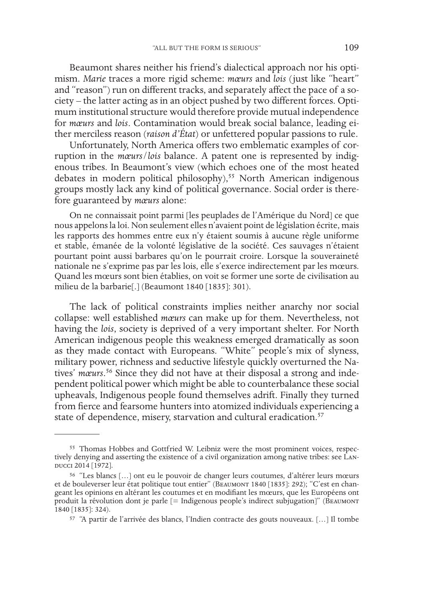Beaumont shares neither his friend's dialectical approach nor his optimism. *Marie* traces a more rigid scheme: *mœurs* and *lois* (just like "heart" and "reason") run on different tracks, and separately affect the pace of a society – the latter acting as in an object pushed by two different forces. Optimum institutional structure would therefore provide mutual independence for *mœurs* and *lois*. Contamination would break social balance, leading either merciless reason (*raison d'État*) or unfettered popular passions to rule.

Unfortunately, North America offers two emblematic examples of corruption in the *mœurs*/*lois* balance. A patent one is represented by indigenous tribes. In Beaumont's view (which echoes one of the most heated debates in modern political philosophy),<sup>55</sup> North American indigenous groups mostly lack any kind of political governance. Social order is therefore guaranteed by *mœurs* alone:

On ne connaissait point parmi [les peuplades de l'Amérique du Nord] ce que nous appelons la loi. Non seulement elles n'avaient point de législation écrite, mais les rapports des hommes entre eux n'y étaient soumis à aucune règle uniforme et stable, émanée de la volonté législative de la société. Ces sauvages n'étaient pourtant point aussi barbares qu'on le pourrait croire. Lorsque la souveraineté nationale ne s'exprime pas par les lois, elle s'exerce indirectement par les mœurs. Quand les mœurs sont bien établies, on voit se former une sorte de civilisation au milieu de la barbarie[.] (Beaumont 1840 [1835]: 301).

The lack of political constraints implies neither anarchy nor social collapse: well established *mœurs* can make up for them. Nevertheless, not having the *lois*, society is deprived of a very important shelter. For North American indigenous people this weakness emerged dramatically as soon as they made contact with Europeans. "White" people's mix of slyness, military power, richness and seductive lifestyle quickly overturned the Natives' *mœurs*. 56 Since they did not have at their disposal a strong and independent political power which might be able to counterbalance these social upheavals, Indigenous people found themselves adrift. Finally they turned from fierce and fearsome hunters into atomized individuals experiencing a state of dependence, misery, starvation and cultural eradication.<sup>57</sup>

<sup>55</sup> Thomas Hobbes and Gottfried W. Leibniz were the most prominent voices, respectively denying and asserting the existence of a civil organization among native tribes: see Landucci 2014 [1972].

<sup>56</sup> "Les blancs […] ont eu le pouvoir de changer leurs coutumes, d'altérer leurs mœurs et de bouleverser leur état politique tout entier" (BEAUMONT 1840 [1835]: 292); "C'est en changeant les opinions en altérant les coutumes et en modifiant les mœurs, que les Européens ont produit la révolution dont je parle [= Indigenous people's indirect subjugation]" (BEAUMONT 1840 [1835]: 324).

<sup>57</sup> "A partir de l'arrivée des blancs, l'Indien contracte des gouts nouveaux. […] Il tombe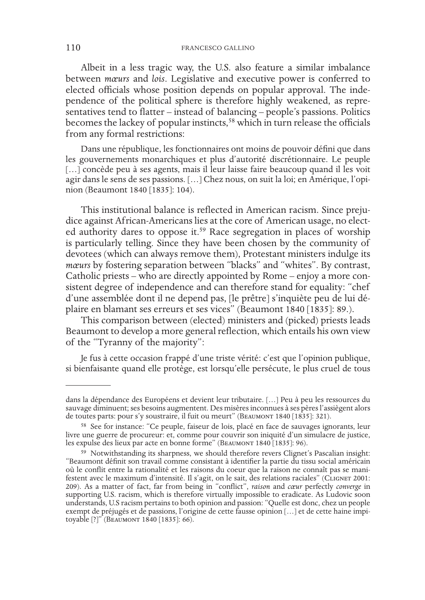Albeit in a less tragic way, the U.S. also feature a similar imbalance between *mœurs* and *lois*. Legislative and executive power is conferred to elected officials whose position depends on popular approval. The independence of the political sphere is therefore highly weakened, as representatives tend to flatter – instead of balancing – people's passions. Politics becomes the lackey of popular instincts,<sup>58</sup> which in turn release the officials from any formal restrictions:

Dans une république, les fonctionnaires ont moins de pouvoir défini que dans les gouvernements monarchiques et plus d'autorité discrétionnaire. Le peuple [...] concède peu à ses agents, mais il leur laisse faire beaucoup quand il les voit agir dans le sens de ses passions. […] Chez nous, on suit la loi; en Amérique, l'opinion (Beaumont 1840 [1835]: 104).

This institutional balance is reflected in American racism. Since prejudice against African-Americans lies at the core of American usage, no elected authority dares to oppose it.<sup>59</sup> Race segregation in places of worship is particularly telling. Since they have been chosen by the community of devotees (which can always remove them), Protestant ministers indulge its *mœurs* by fostering separation between "blacks" and "whites". By contrast, Catholic priests – who are directly appointed by Rome – enjoy a more consistent degree of independence and can therefore stand for equality: "chef d'une assemblée dont il ne depend pas, [le prêtre] s'inquiète peu de lui déplaire en blamant ses erreurs et ses vices" (Beaumont 1840 [1835]: 89.).

This comparison between (elected) ministers and (picked) priests leads Beaumont to develop a more general reflection, which entails his own view of the "Tyranny of the majority":

Je fus à cette occasion frappé d'une triste vérité: c'est que l'opinion publique, si bienfaisante quand elle protège, est lorsqu'elle persécute, le plus cruel de tous

dans la dépendance des Européens et devient leur tributaire. […] Peu à peu les ressources du sauvage diminuent; ses besoins augmentent. Des misères inconnues à ses pères l'assiègent alors de toutes parts: pour s'y soustraire, il fuit ou meurt" (BEAUMONT 1840 [1835]: 321).

<sup>58</sup> See for instance: "Ce peuple, faiseur de lois, placé en face de sauvages ignorants, leur livre une guerre de procureur: et, comme pour couvrir son iniquité d'un simulacre de justice, les expulse des lieux par acte en bonne forme" (BEAUMONT 1840 [1835]: 96).

<sup>59</sup> Notwithstanding its sharpness, we should therefore revers Clignet's Pascalian insight: "Beaumont définit son travail comme consistant à identifier la partie du tissu social américain festent avec le maximum d'intensité. Il s'agit, on le sait, des relations raciales" (CLIGNET 2001: 209). As a matter of fact, far from being in "conflict", *raison* and *cœur* perfectly *converge* in supporting U.S. racism, which is therefore virtually impossible to eradicate. As Ludovic soon understands, U.S racism pertains to both opinion and passion: "Quelle est donc, chez un people exempt de préjugés et de passions, l'origine de cette fausse opinion […] et de cette haine impi- toyable [?]" (Beaumont 1840 [1835]: 66).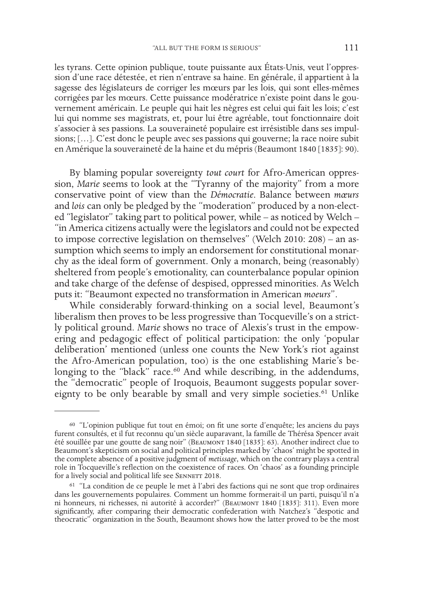les tyrans. Cette opinion publique, toute puissante aux États-Unis, veut l'oppression d'une race détestée, et rien n'entrave sa haine. En générale, il appartient à la sagesse des législateurs de corriger les mœurs par les lois, qui sont elles-mêmes corrigées par les mœurs. Cette puissance modératrice n'existe point dans le gouvernement américain. Le peuple qui hait les nègres est celui qui fait les lois; c'est lui qui nomme ses magistrats, et, pour lui être agréable, tout fonctionnaire doit s'associer à ses passions. La souveraineté populaire est irrésistible dans ses impulsions; […]. C'est donc le peuple avec ses passions qui gouverne; la race noire subit en Amérique la souveraineté de la haine et du mépris (Beaumont 1840 [1835]: 90).

By blaming popular sovereignty *tout court* for Afro-American oppression, *Marie* seems to look at the "Tyranny of the majority" from a more conservative point of view than the *Démocratie*. Balance between *mœurs* and *lois* can only be pledged by the "moderation" produced by a non-elected "legislator" taking part to political power, while – as noticed by Welch – "in America citizens actually were the legislators and could not be expected to impose corrective legislation on themselves" (Welch 2010: 208) – an assumption which seems to imply an endorsement for constitutional monarchy as the ideal form of government. Only a monarch, being (reasonably) sheltered from people's emotionality, can counterbalance popular opinion and take charge of the defense of despised, oppressed minorities. As Welch puts it: "Beaumont expected no transformation in American *moeurs*".

While considerably forward-thinking on a social level, Beaumont's liberalism then proves to be less progressive than Tocqueville's on a strictly political ground. *Marie* shows no trace of Alexis's trust in the empowering and pedagogic effect of political participation: the only 'popular deliberation' mentioned (unless one counts the New York's riot against the Afro-American population, too) is the one establishing Marie's belonging to the "black" race.<sup>60</sup> And while describing, in the addendums, the "democratic" people of Iroquois, Beaumont suggests popular sovereignty to be only bearable by small and very simple societies.<sup>61</sup> Unlike

<sup>60</sup> "L'opinion publique fut tout en émoi; on fit une sorte d'enquête; les anciens du pays furent consultés, et il fut reconnu qu'un siècle auparavant, la famille de Thérésa Spencer avait été souillée par une goutte de sang noir" (Beaumont 1840 [1835]: 63). Another indirect clue to Beaumont's skepticism on social and political principles marked by 'chaos' might be spotted in the complete absence of a positive judgment of *metissage*, which on the contrary plays a central role in Tocqueville's reflection on the coexistence of races. On 'chaos' as a founding principle for a lively social and political life see SENNETT 2018.

<sup>61</sup> "La condition de ce peuple le met à l'abri des factions qui ne sont que trop ordinaires dans les gouvernements populaires. Comment un homme formerait-il un parti, puisqu'il n'a ni honneurs, ni richesses, ni autorité à accorder?" (BEAUMONT 1840 [1835]: 311). Even more significantly, after comparing their democratic confederation with Natchez's "despotic and theocratic" organization in the South, Beaumont shows how the latter proved to be the most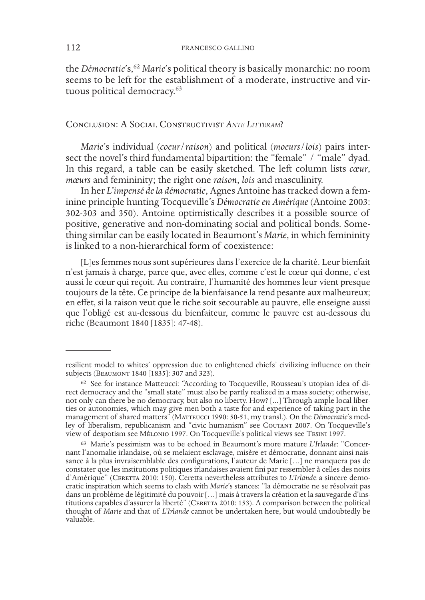the *Démocratie*'s,<sup>62</sup> *Marie*'s political theory is basically monarchic: no room seems to be left for the establishment of a moderate, instructive and virtuous political democracy.<sup>63</sup>

### Conclusion: A Social Constructivist *Ante Litteram*?

*Marie*'s individual (*coeur*/*raison*) and political (*moeurs*/*lois*) pairs intersect the novel's third fundamental bipartition: the "female" / "male" dyad. In this regard, a table can be easily sketched. The left column lists *cœur*, *mœurs* and femininity; the right one *raison*, *lois* and masculinity.

In her *L'impensé de la démocratie*, Agnes Antoine has tracked down a feminine principle hunting Tocqueville's *Démocratie en Amérique* (Antoine 2003: 302-303 and 350). Antoine optimistically describes it a possible source of positive, generative and non-dominating social and political bonds. Something similar can be easily located in Beaumont's *Marie*, in which femininity is linked to a non-hierarchical form of coexistence:

[L]es femmes nous sont supérieures dans l'exercice de la charité. Leur bienfait n'est jamais à charge, parce que, avec elles, comme c'est le cœur qui donne, c'est aussi le cœur qui reçoit. Au contraire, l'humanité des hommes leur vient presque toujours de la tête. Ce principe de la bienfaisance la rend pesante aux malheureux; en effet, si la raison veut que le riche soit secourable au pauvre, elle enseigne aussi que l'obligé est au-dessous du bienfaiteur, comme le pauvre est au-dessous du riche (Beaumont 1840 [1835]: 47-48).

resilient model to whites' oppression due to enlightened chiefs' civilizing influence on their subjects (BEAUMONT 1840 [1835]: 307 and 323).

<sup>&</sup>lt;sup>62</sup> See for instance Matteucci: "According to Tocqueville, Rousseau's utopian idea of direct democracy and the "small state" must also be partly realized in a mass society; otherwise, not only can there be no democracy, b ties or autonomies, which may give men both a taste for and experience of taking part in the management of shared matters" (MATTEUCCI 1990: 50-51, my transl.). On the *Démocratie*'s med-<br>ley of liberalism, republicanism and "civic humanism" see Coutant 2007. On Tocqueville's view of despotism see Mélonio 1997. On Tocqueville's political views see Tesini 1997.

<sup>63</sup> Marie's pessimism was to be echoed in Beaumont's more mature *L'Irlande*: "Concernant l'anomalie irlandaise, où se melaient esclavage, misère et démocratie, donnant ainsi naissance à la plus invraisemblable des configurations, l'auteur de Marie […] ne manquera pas de constater que les institutions politiques irlandaises avaient fini par ressembler à celles des noirs cratic inspiration which seems to clash with *Marie*'s stances: "la démocratie ne se résolvait pas dans un problème de légitimité du pouvoir […] mais à travers la création et la sauvegarde d'institutions capables d'assurer la liberté" (CERETTA 2010: 153). A comparison between the political thought of *Marie* and that of *L'Irlande* cannot be undertaken here, but would undoubtedly be valuable.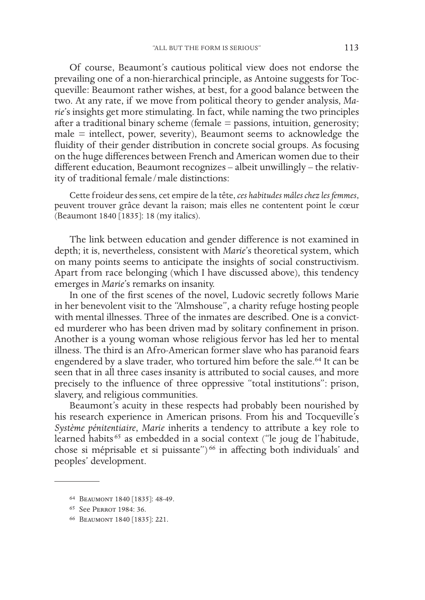Of course, Beaumont's cautious political view does not endorse the prevailing one of a non-hierarchical principle, as Antoine suggests for Tocqueville: Beaumont rather wishes, at best, for a good balance between the two. At any rate, if we move from political theory to gender analysis, *Marie*'s insights get more stimulating. In fact, while naming the two principles after a traditional binary scheme (female = passions, intuition, generosity; male = intellect, power, severity), Beaumont seems to acknowledge the fluidity of their gender distribution in concrete social groups. As focusing on the huge differences between French and American women due to their different education, Beaumont recognizes – albeit unwillingly – the relativity of traditional female/male distinctions:

Cette froideur des sens, cet empire de la tête, *ces habitudes mâles chez les femmes*, peuvent trouver grâce devant la raison; mais elles ne contentent point le cœur (Beaumont 1840 [1835]: 18 (my italics).

The link between education and gender difference is not examined in depth; it is, nevertheless, consistent with *Marie*'s theoretical system, which on many points seems to anticipate the insights of social constructivism. Apart from race belonging (which I have discussed above), this tendency emerges in *Marie*'s remarks on insanity.

In one of the first scenes of the novel, Ludovic secretly follows Marie in her benevolent visit to the "Almshouse", a charity refuge hosting people with mental illnesses. Three of the inmates are described. One is a convicted murderer who has been driven mad by solitary confinement in prison. Another is a young woman whose religious fervor has led her to mental illness. The third is an Afro-American former slave who has paranoid fears engendered by a slave trader, who tortured him before the sale.<sup>64</sup> It can be seen that in all three cases insanity is attributed to social causes, and more precisely to the influence of three oppressive "total institutions": prison, slavery, and religious communities.

Beaumont's acuity in these respects had probably been nourished by his research experience in American prisons. From his and Tocqueville's *Système pénitentiaire*, *Marie* inherits a tendency to attribute a key role to learned habits 65 as embedded in a social context ("le joug de l'habitude, chose si méprisable et si puissante")<sup>66</sup> in affecting both individuals' and peoples' development.

<sup>64</sup> Beaumont 1840 [1835]: 48-49.

<sup>65</sup> See Perrot 1984: 36.

<sup>66</sup> Beaumont 1840 [1835]: 221.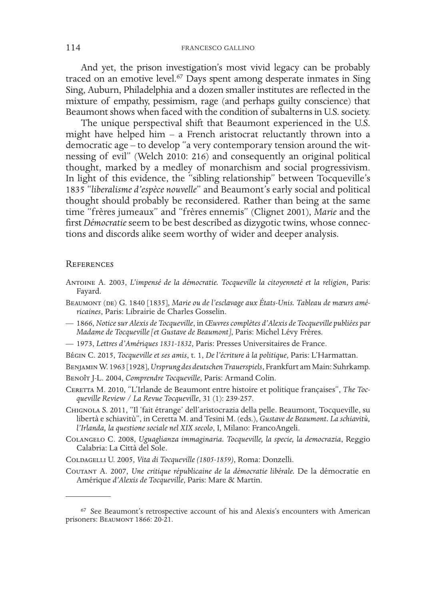And yet, the prison investigation's most vivid legacy can be probably traced on an emotive level.67 Days spent among desperate inmates in Sing Sing, Auburn, Philadelphia and a dozen smaller institutes are reflected in the mixture of empathy, pessimism, rage (and perhaps guilty conscience) that Beaumont shows when faced with the condition of subalterns in U.S. society.

The unique perspectival shift that Beaumont experienced in the U.S. might have helped him – a French aristocrat reluctantly thrown into a democratic age – to develop "a very contemporary tension around the witnessing of evil" (Welch 2010: 216) and consequently an original political thought, marked by a medley of monarchism and social progressivism. In light of this evidence, the "sibling relationship" between Tocqueville's 1835 "*liberalisme d'espèce nouvelle*" and Beaumont's early social and political thought should probably be reconsidered. Rather than being at the same time "frères jumeaux" and "frères ennemis" (Clignet 2001), *Marie* and the first *Démocratie* seem to be best described as dizygotic twins, whose connections and discords alike seem worthy of wider and deeper analysis.

#### **REFERENCES**

- Antoine A. 2003, *L'impensé de la démocratie. Tocqueville la citoyenneté et la religion*, Paris: Fayard.
- BEAUMONT (DE) G. 1840 [1835], Marie ou de l'esclavage aux États-Unis. Tableau de mœurs amé*ricaines*, Paris: Librairie de Charles Gosselin.
- 1866, *Notice* s*ur Alexis de Tocqueville*, in *Œuvres complètes d'Alexis de Tocqueville publiées par Madame de Tocqueville [et Gustave de Beaumont]*, Paris: Michel Lévy Frères.
- 1973, *Lettres d'Amériques 1831-1832*, Paris: Presses Universitaires de France.
- Bégin C. 2015, *Tocqueville et ses amis*, t. 1, *De l'écriture à la politique*, Paris: L'Harmattan.

Benjamin W. 1963 [1928], *Ursprung des deutschen Trauerspiels*, Frankfurt am Main: Suhrkamp.

- Benoît J-L. 2004, *Comprendre Tocqueville*, Paris: Armand Colin.
- CERETTA M. 2010, "L'Irlande de Beaumont entre histoire et politique françaises", The Toc*queville Review / La Revue Tocqueville*, 31 (1): 239-257.
- Chignola S. 2011, "Il 'fait étrange' dell'aristocrazia della pelle. Beaumont, Tocqueville, su libertà e schiavitù", in Ceretta M. and Tesini M. (eds.), *Gustave de Beaumont. La schiavitù, l'Irlanda, la questione sociale nel XIX secolo*, I, Milano: FrancoAngeli.
- Colangelo C. 2008, *Uguaglianza immaginaria. Tocqueville, la specie, la democrazia*, Reggio Calabria: La Città del Sole.
- Coldagelli U. 2005, *Vita di Tocqueville (1805-1859)*, Roma: Donzelli.

Coutant A. 2007, *Une critique républicaine de la démocratie libérale.* De la démocratie en Amérique *d'Alexis de Tocqueville*, Paris: Mare & Martin.

<sup>67</sup> See Beaumont's retrospective account of his and Alexis's encounters with American prisoners: BEAUMONT 1866: 20-21.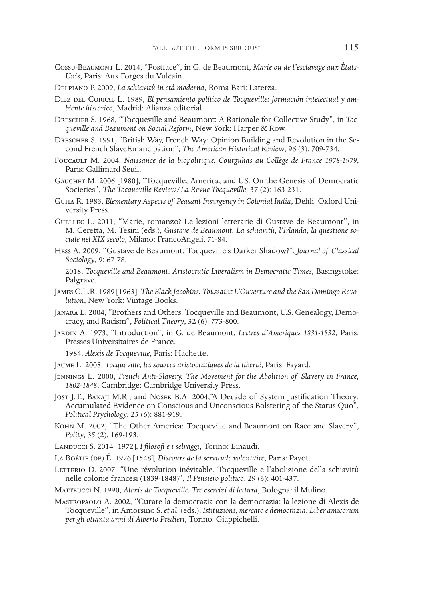- Cossu-Beaumont L. 2014, "Postface", in G. de Beaumont, *Marie ou de l'esclavage aux États-Unis*, Paris: Aux Forges du Vulcain.
- Delpiano P. 2009, *La schiavitù in età moderna*, Roma-Bari: Laterza.
- Diez del Corral L. 1989, *El pensamiento político de Tocqueville: formación intelectual y am- biente histórico*, Madrid: Alianza editorial.
- Drescher S. 1968, "Tocqueville and Beaumont: A Rationale for Collective Study", in *Toc- queville and Beaumont on Social Reform*, New York: Harper & Row.
- Drescher S. 1991, "British Way, French Way: Opinion Building and Revolution in the Se- cond French SlaveEmancipation", *The American Historical Review*, 96 (3): 709-734.
- Foucault M. 2004, *Naissance de la biopolitique. Courguhas au Collège de France 1978-1979*, Paris: Gallimard Seuil.
- Gauchet M. 2006 [1980], "Tocqueville, America, and US: On the Genesis of Democratic Societies", *The Tocqueville Review/La Revue Tocqueville*, 37 (2): 163-231.
- Guha R. 1983, *Elementary Aspects of Peasant Insurgency in Colonial India*, Dehli: Oxford Uni- versity Press.
- Guellec L. 2011, "Marie, romanzo? Le lezioni letterarie di Gustave de Beaumont", in M. Ceretta, M. Tesini (eds.), *Gustave de Beaumont. La schiavitù, l'Irlanda, la questione so- ciale nel XIX secolo*, Milano: FrancoAngeli, 71-84.
- Hess A. 2009, "Gustave de Beaumont: Tocqueville's Darker Shadow?", *Journal of Classical Sociology*, 9: 67-78.
- 2018, *Tocqueville and Beaumont. Aristocratic Liberalism in Democratic Times*, Basingstoke: Palgrave.
- James C.L.R. 1989 [1963], *The Black Jacobins. Toussaint L'Ouverture and the San Domingo Revo- lution*, New York: Vintage Books.
- Janara L. 2004, "Brothers and Others. Tocqueville and Beaumont, U.S. Genealogy, Demo- cracy, and Racism", *Political Theory*, 32 (6): 773-800.
- JARDIN A. 1973, "Introduction", in G. de Beaumont, Lettres d'Amériques 1831-1832, Paris: Presses Universitaires de France.
- 1984, *Alexis de Tocqueville*, Paris: Hachette.
- Jaume L. 2008, *Tocqueville, les sources aristocratiques de la liberté*, Paris: Fayard.
- Jennings L. 2000, *French Anti-Slavery. The Movement for the Abolition of Slavery in France, 1802-1848*, Cambridge: Cambridge University Press.
- Jost J.T., Banaji M.R., and Nosek B.A. 2004,"A Decade of System Justification Theory: Accumulated Evidence on Conscious and Unconscious Bolstering of the Status Quo", *Political Psychology*, 25 (6): 881-919.
- Kohn M. 2002, "The Other America: Tocqueville and Beaumont on Race and Slavery", *Polity*, 35 (2), 169-193.
- Landucci S. 2014 [1972], *I filosofi e i selvaggi*, Torino: Einaudi.
- La Boétie (de) É. 1976 [1548], *Discours de la servitude volontaire*, Paris: Payot.
- LETTERIO D. 2007, "Une révolution inévitable. Tocqueville e l'abolizione della schiavitù nelle colonie francesi (1839-1848)", *Il Pensiero politico*, 29 (3): 401-437.
- Matteucci N. 1990, *Alexis de Tocqueville. Tre esercizi di lettura*, Bologna: il Mulino.
- Mastropaolo A. 2002, "Curare la democrazia con la democrazia: la lezione di Alexis de Tocqueville", in Amorsino S. *et al*. (eds.), *Istituzioni, mercato e democrazia. Liber amicorum per gli ottanta anni di Alberto Predieri*, Torino: Giappichelli.